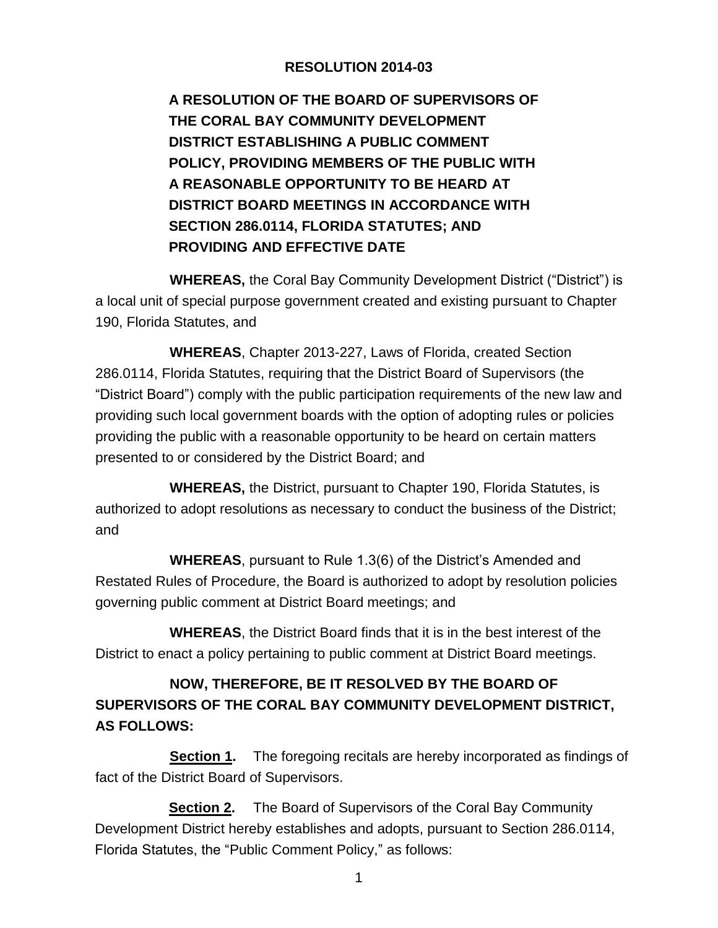## **RESOLUTION 2014-03**

**A RESOLUTION OF THE BOARD OF SUPERVISORS OF THE CORAL BAY COMMUNITY DEVELOPMENT DISTRICT ESTABLISHING A PUBLIC COMMENT POLICY, PROVIDING MEMBERS OF THE PUBLIC WITH A REASONABLE OPPORTUNITY TO BE HEARD AT DISTRICT BOARD MEETINGS IN ACCORDANCE WITH SECTION 286.0114, FLORIDA STATUTES; AND PROVIDING AND EFFECTIVE DATE** 

**WHEREAS,** the Coral Bay Community Development District ("District") is a local unit of special purpose government created and existing pursuant to Chapter 190, Florida Statutes, and

**WHEREAS**, Chapter 2013-227, Laws of Florida, created Section 286.0114, Florida Statutes, requiring that the District Board of Supervisors (the "District Board") comply with the public participation requirements of the new law and providing such local government boards with the option of adopting rules or policies providing the public with a reasonable opportunity to be heard on certain matters presented to or considered by the District Board; and

**WHEREAS,** the District, pursuant to Chapter 190, Florida Statutes, is authorized to adopt resolutions as necessary to conduct the business of the District; and

**WHEREAS**, pursuant to Rule 1.3(6) of the District's Amended and Restated Rules of Procedure, the Board is authorized to adopt by resolution policies governing public comment at District Board meetings; and

**WHEREAS**, the District Board finds that it is in the best interest of the District to enact a policy pertaining to public comment at District Board meetings.

## **NOW, THEREFORE, BE IT RESOLVED BY THE BOARD OF SUPERVISORS OF THE CORAL BAY COMMUNITY DEVELOPMENT DISTRICT, AS FOLLOWS:**

**Section 1.** The foregoing recitals are hereby incorporated as findings of fact of the District Board of Supervisors.

**Section 2.** The Board of Supervisors of the Coral Bay Community Development District hereby establishes and adopts, pursuant to Section 286.0114, Florida Statutes, the "Public Comment Policy," as follows: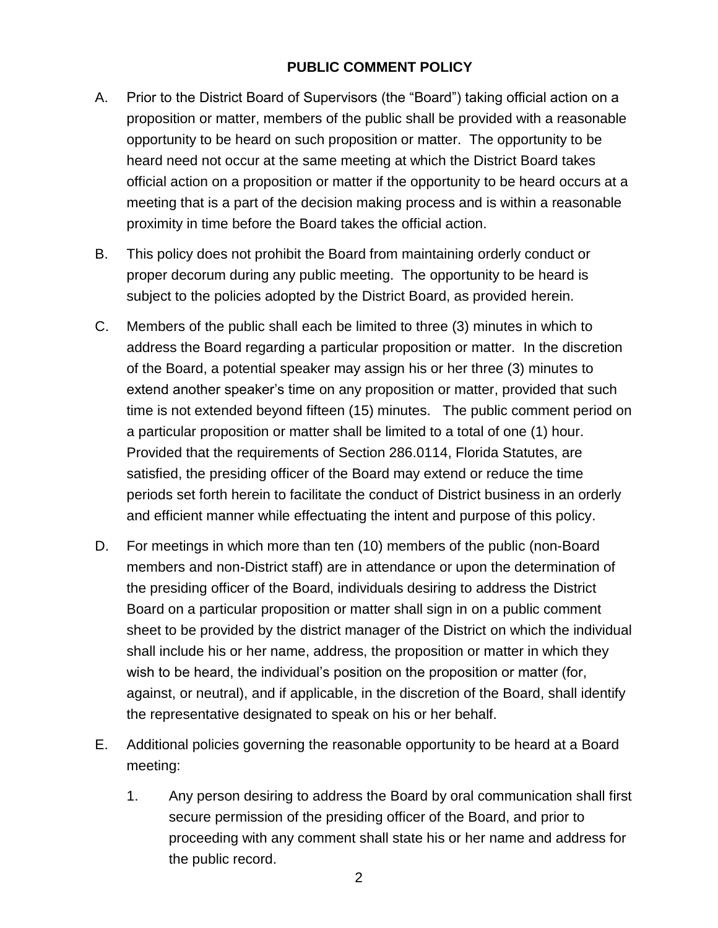## **PUBLIC COMMENT POLICY**

- A. Prior to the District Board of Supervisors (the "Board") taking official action on a proposition or matter, members of the public shall be provided with a reasonable opportunity to be heard on such proposition or matter. The opportunity to be heard need not occur at the same meeting at which the District Board takes official action on a proposition or matter if the opportunity to be heard occurs at a meeting that is a part of the decision making process and is within a reasonable proximity in time before the Board takes the official action.
- B. This policy does not prohibit the Board from maintaining orderly conduct or proper decorum during any public meeting. The opportunity to be heard is subject to the policies adopted by the District Board, as provided herein.
- C. Members of the public shall each be limited to three (3) minutes in which to address the Board regarding a particular proposition or matter. In the discretion of the Board, a potential speaker may assign his or her three (3) minutes to extend another speaker's time on any proposition or matter, provided that such time is not extended beyond fifteen (15) minutes. The public comment period on a particular proposition or matter shall be limited to a total of one (1) hour. Provided that the requirements of Section 286.0114, Florida Statutes, are satisfied, the presiding officer of the Board may extend or reduce the time periods set forth herein to facilitate the conduct of District business in an orderly and efficient manner while effectuating the intent and purpose of this policy.
- D. For meetings in which more than ten (10) members of the public (non-Board members and non-District staff) are in attendance or upon the determination of the presiding officer of the Board, individuals desiring to address the District Board on a particular proposition or matter shall sign in on a public comment sheet to be provided by the district manager of the District on which the individual shall include his or her name, address, the proposition or matter in which they wish to be heard, the individual's position on the proposition or matter (for, against, or neutral), and if applicable, in the discretion of the Board, shall identify the representative designated to speak on his or her behalf.
- E. Additional policies governing the reasonable opportunity to be heard at a Board meeting:
	- 1. Any person desiring to address the Board by oral communication shall first secure permission of the presiding officer of the Board, and prior to proceeding with any comment shall state his or her name and address for the public record.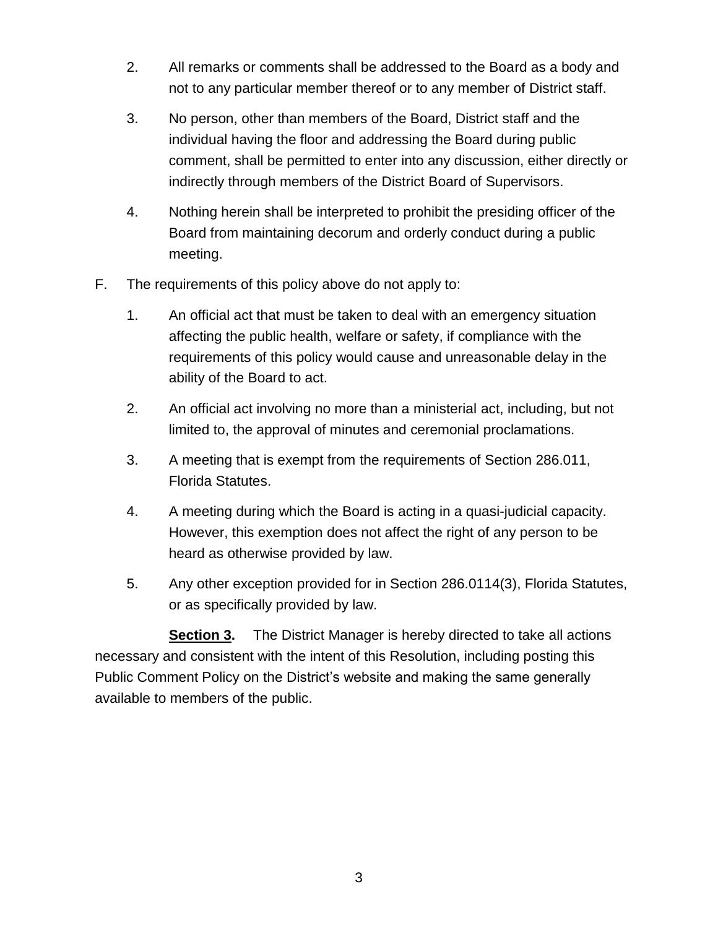- 2. All remarks or comments shall be addressed to the Board as a body and not to any particular member thereof or to any member of District staff.
- 3. No person, other than members of the Board, District staff and the individual having the floor and addressing the Board during public comment, shall be permitted to enter into any discussion, either directly or indirectly through members of the District Board of Supervisors.
- 4. Nothing herein shall be interpreted to prohibit the presiding officer of the Board from maintaining decorum and orderly conduct during a public meeting.
- F. The requirements of this policy above do not apply to:
	- 1. An official act that must be taken to deal with an emergency situation affecting the public health, welfare or safety, if compliance with the requirements of this policy would cause and unreasonable delay in the ability of the Board to act.
	- 2. An official act involving no more than a ministerial act, including, but not limited to, the approval of minutes and ceremonial proclamations.
	- 3. A meeting that is exempt from the requirements of Section 286.011, Florida Statutes.
	- 4. A meeting during which the Board is acting in a quasi-judicial capacity. However, this exemption does not affect the right of any person to be heard as otherwise provided by law.
	- 5. Any other exception provided for in Section 286.0114(3), Florida Statutes, or as specifically provided by law.

**Section 3.** The District Manager is hereby directed to take all actions necessary and consistent with the intent of this Resolution, including posting this Public Comment Policy on the District's website and making the same generally available to members of the public.